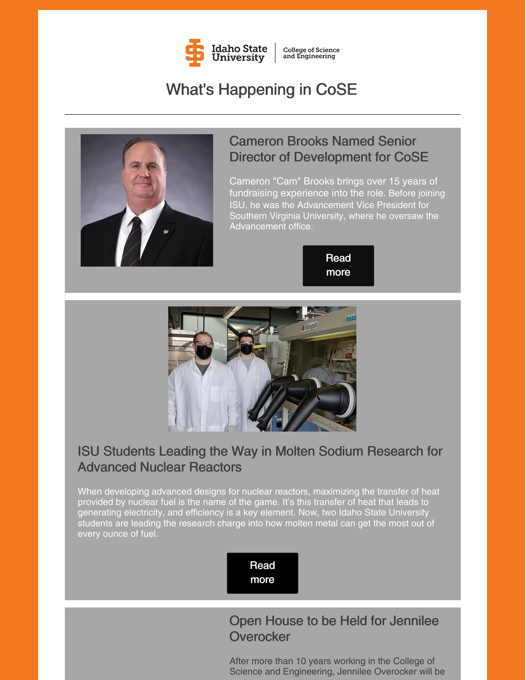

**College of Science**<br>and Engineering

# What's Happening in CoSE



## Cameron Brooks Named Senior Director of Development for CoSE

Cameron "Cam" Brooks brings over 15 years of fundraising experience into the role. Before joining ISU, he was the Advancement Vice President for Southern Virginia University, where he oversaw the Advancement office.





## ISU Students Leading the Way in Molten Sodium Research for Advanced Nuclear Reactors

When developing advanced designs for nuclear reactors, maximizing the transfer of heat provided by nuclear fuel is the name of the game. It's this transfer of heat that leads to generating electricity, and efficiency is a key element. Now, two Idaho State University students are leading the research charge into how molten metal can get the most out of every ounce of fuel.

> Read [more](https://www.isu.edu/news/2022-spring/-idaho-state-university-students-leading-the-way-in-molten-sodium-research-for-advanced-nuclear-reactors.html)

## Open House to be Held for Jennilee **Overocker**

After more than 10 years working in the College of Science and Engineering, Jennilee Overocker will be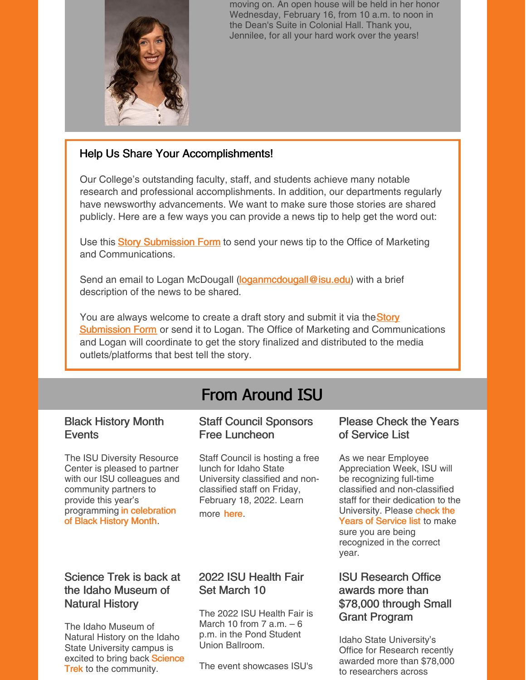

moving on. An open house will be held in her honor Wednesday, February 16, from 10 a.m. to noon in the Dean's Suite in Colonial Hall. Thank you, Jennilee, for all your hard work over the years!

### Help Us Share Your Accomplishments!

Our College's outstanding faculty, staff, and students achieve many notable research and professional accomplishments. In addition, our departments regularly have newsworthy advancements. We want to make sure those stories are shared publicly. Here are a few ways you can provide a news tip to help get the word out:

U[s](https://www.isu.edu/news/story-form/)e this Story [Submission](https://www.isu.edu/news/story-form/) Form to send your news tip to the Office of Marketing and Communications.

Send an email to Logan McDougall [\(loganmcdougall@isu.edu](mailto:loganmcdougall@isu.edu)) with a brief description of the news to be shared.

You ar[e](https://www.isu.edu/news/story-form/) always welcome to create a draft story and submit it via the **Story [Submission](https://www.isu.edu/news/story-form/) Form** or send it to Logan. The Office of Marketing and Communications and Logan will coordinate to get the story finalized and distributed to the media outlets/platforms that best tell the story.

# From Around ISU

### Black History Month **Events**

The ISU Diversity Resource Center is pleased to partner with our ISU colleagues and community partners to provide this year's [programming](https://www.isu.edu/news/2022-spring/black-history-month-events.html) in celebration of Black History Month.

### Staff Council Sponsors Free Luncheon

Staff Council is hosting a free lunch for Idaho State University classified and nonclassified staff on Friday, February 18, 2022. Learn more [here](https://s3.amazonaws.com/files.formstack.com/uploads/4254978/105901708/926093255/105901708_staff_council_lunch.pdf).

### Please Check the Years of Service List

As we near Employee Appreciation Week, ISU will be recognizing full-time classified and non-classified staff for their dedication to the [University.](https://www.isu.edu/news/2022-spring/please-check-our-years-of-service-list.html) Please check the Years of Service list to make sure you are being recognized in the correct year.

### Science Trek is back at the Idaho Museum of Natural History

The Idaho Museum of Natural History on the Idaho State University campus is excited to bring back Science **Trek** to the [community.](https://www.isu.edu/news/2022-spring/science-trek-is-back-at-the-idaho-museum-of-natural-history.html)

### 2022 ISU Health Fair Set March 10

The 2022 ISU Health Fair is March 10 from 7 a.m.  $-6$ p.m. in the Pond Student Union Ballroom.

The event showcases ISU's

### ISU Research Office awards more than \$78,000 through Small Grant Program

Idaho State University's Office for Research recently awarded more than \$78,000 to researchers across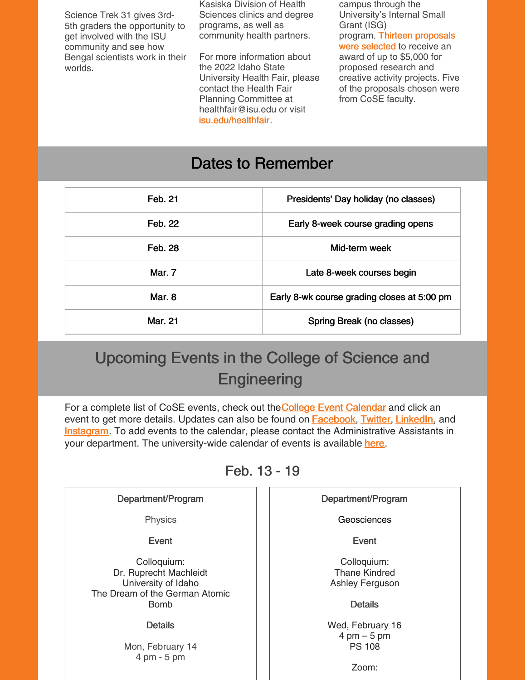Science Trek 31 gives 3rd-5th graders the opportunity to get involved with the ISU community and see how Bengal scientists work in their worlds.

Kasiska Division of Health Sciences clinics and degree programs, as well as community health partners.

For more information about the 2022 Idaho State University Health Fair, please contact the Health Fair Planning Committee at healthfair@isu.edu or visit [isu.edu/healthfair](https://www.isu.edu/healthfair/).

campus through the University's Internal Small Grant (ISG) program. [T](https://www.isu.edu/news/2022-spring/isu-research-office-awards-more-than-78000-through-small-grant-program.html)hirteen [proposals](https://www.isu.edu/news/2022-spring/isu-research-office-awards-more-than-78000-through-small-grant-program.html) were selected to receive an award of up to \$5,000 for proposed research and creative activity projects. Five of the proposals chosen were from CoSE faculty.

## Dates to Remember

| Feb. 21        | Presidents' Day holiday (no classes)        |
|----------------|---------------------------------------------|
| Feb. 22        | Early 8-week course grading opens           |
| Feb. 28        | Mid-term week                               |
| Mar. 7         | Late 8-week courses begin                   |
| Mar. 8         | Early 8-wk course grading closes at 5:00 pm |
| <b>Mar. 21</b> | Spring Break (no classes)                   |

# Upcoming Events in the College of Science and **Engineering**

For a compl[e](https://isu.edu/cse/calendar/)te list of CoSE events, check out the College Event [Calendar](https://isu.edu/cse/calendar/) and click an event to get more details. Updates can also be found on **[Facebook](https://www.facebook.com/IdahoStateUCoSE)**, [Twitter](https://twitter.com/IdahoStateUCoSE), [LinkedIn](https://www.linkedin.com/company/idaho-state-university-college-of-science-and-engineering), and **[Instagram](https://www.instagram.com/idahostateucose/)**. To add events to the calendar, please contact the Administrative Assistants in your department. The university-wide calendar of events is available [here](https://www.isu.edu/calendar/).

Feb. 13 - 19

| Department/Program                                                                                            | Department/Program                                                              |
|---------------------------------------------------------------------------------------------------------------|---------------------------------------------------------------------------------|
| Physics                                                                                                       | Geosciences                                                                     |
| Event                                                                                                         | Event                                                                           |
| Colloquium:<br>Dr. Ruprecht Machleidt<br>University of Idaho<br>The Dream of the German Atomic<br><b>Bomb</b> | Colloquium:<br><b>Thane Kindred</b><br><b>Ashley Ferguson</b><br><b>Details</b> |
| <b>Details</b>                                                                                                | Wed, February 16                                                                |
| Mon, February 14<br>$4 \text{ pm} - 5 \text{ pm}$                                                             | $4 \text{ pm} - 5 \text{ pm}$<br><b>PS 108</b>                                  |
|                                                                                                               | Zoom:                                                                           |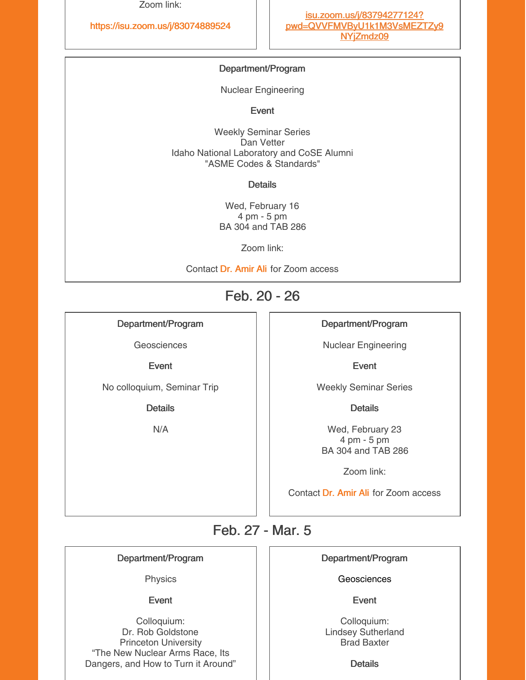Zoom link:

#### <https://isu.zoom.us/j/83074889524>

#### Department/Program

Nuclear Engineering

Event

Weekly Seminar Series Dan Vetter Idaho National Laboratory and CoSE Alumni "ASME Codes & Standards"

**Details** 

Wed, February 16 4 pm - 5 pm BA 304 and TAB 286

Zoom link:

Contact Dr. [Amir](mailto:aliamir@isu.edu) Ali for Zoom access

### Feb. 20 - 26

Department/Program

**Geosciences** 

Event

No colloquium, Seminar Trip

**Details** 

N/A

#### Department/Program

Nuclear Engineering

Event

Weekly Seminar Series

**Details** 

Wed, February 23 4 pm - 5 pm BA 304 and TAB 286

Zoom link:

Contact Dr. [Amir](mailto:aliamir@isu.edu) Ali for Zoom access

## Feb. 27 - Mar. 5

#### Department/Program

Physics

Event

Colloquium: Dr. Rob Goldstone Princeton University "The New Nuclear Arms Race, Its Dangers, and How to Turn it Around"

#### Department/Program

Geosciences

Event

Colloquium: Lindsey Sutherland Brad Baxter

**Details**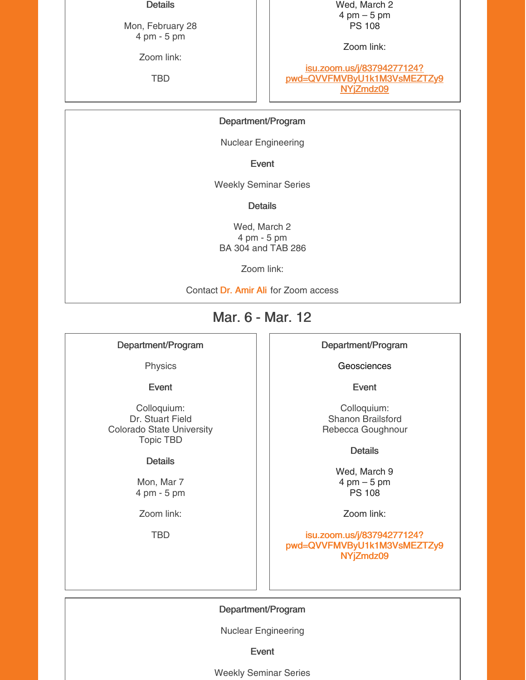#### **Details**

Mon, February 28 4 pm - 5 pm

Zoom link:

TBD

Wed, March 2 4 pm – 5 pm PS 108

Zoom link:

isu.zoom.us/j/83794277124? [pwd=QVVFMVByU1k1M3VsMEZTZy9](https://isu.zoom.us/j/83794277124?pwd=QVVFMVByU1k1M3VsMEZTZy9NYjZmdz09) NYjZmdz09

#### Department/Program

Nuclear Engineering

Event

Weekly Seminar Series

**Details** 

Wed, March 2 4 pm - 5 pm BA 304 and TAB 286

Zoom link:

Contact Dr. [Amir](mailto:aliamir@isu.edu) Ali for Zoom access

## Mar. 6 - Mar. 12

#### Department/Program

Physics

Event

Colloquium: Dr. Stuart Field Colorado State University Topic TBD

#### **Details**

Mon, Mar 7 4 pm - 5 pm

Zoom link:

TBD

Department/Program

**Geosciences** 

Event

Colloquium: Shanon Brailsford Rebecca Goughnour

Details

Wed, March 9 4 pm – 5 pm PS 108

Zoom link:

isu.zoom.us/j/83794277124? [pwd=QVVFMVByU1k1M3VsMEZTZy9](https://isu.zoom.us/j/83794277124?pwd=QVVFMVByU1k1M3VsMEZTZy9NYjZmdz09) NYjZmdz09

Department/Program

Nuclear Engineering

Event

Weekly Seminar Series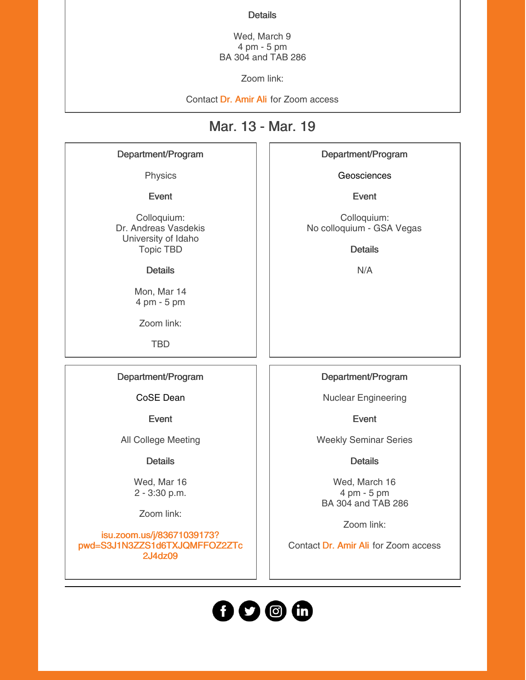#### **Details**

Wed, March 9 4 pm - 5 pm BA 304 and TAB 286

Zoom link:

Contact Dr. [Amir](mailto:aliamir@isu.edu) Ali for Zoom access

## Mar. 13 - Mar. 19

#### Department/Program

Physics

Event

Colloquium: Dr. Andreas Vasdekis University of Idaho Topic TBD

#### **Details**

Mon, Mar 14 4 pm - 5 pm

Zoom link:

TBD

#### Department/Program

CoSE Dean

Event

All College Meeting

**Details** 

Wed, Mar 16 2 - 3:30 p.m.

Zoom link:

isu.zoom.us/j/83671039173? [pwd=S3J1N3ZZS1d6TXJQMFFOZ2ZTc](https://isu.zoom.us/j/83671039173?pwd=S3J1N3ZZS1d6TXJQMFFOZ2ZTc2J4dz09) 2J4dz09

Department/Program

**Geosciences** 

Event

Colloquium: No colloquium - GSA Vegas

**Details** 

N/A

Department/Program

Nuclear Engineering

Event

Weekly Seminar Series

**Details** 

Wed, March 16 4 pm - 5 pm BA 304 and TAB 286

Zoom link:

Contact Dr. [Amir](mailto:aliamir@isu.edu) Ali for Zoom access